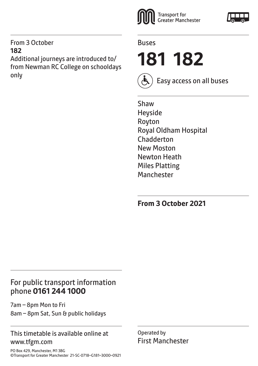#### From 3 October **182**

Additional journeys are introduced to/ from Newman RC College on schooldays only





**181 182**



Easy access on all buses

Shaw Heyside Royton Royal Oldham Hospital Chadderton New Moston Newton Heath Miles Platting **Manchester** 

**From 3 October 2021**

## For public transport information phone **0161 244 1000**

7am – 8pm Mon to Fri 8am – 8pm Sat, Sun & public holidays

#### This timetable is available online at www.tfgm.com

Operated by First Manchester

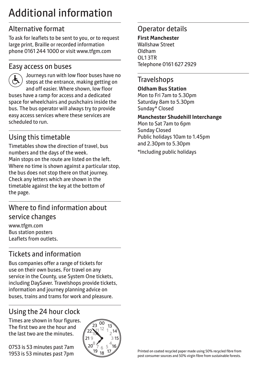# Additional information

## Alternative format

To ask for leaflets to be sent to you, or to request large print, Braille or recorded information phone 0161 244 1000 or visit www.tfgm.com

#### Easy access on buses



 Journeys run with low floor buses have no steps at the entrance, making getting on and off easier. Where shown, low floor buses have a ramp for access and a dedicated space for wheelchairs and pushchairs inside the bus. The bus operator will always try to provide easy access services where these services are scheduled to run.

# Using this timetable

Timetables show the direction of travel, bus numbers and the days of the week. Main stops on the route are listed on the left. Where no time is shown against a particular stop, the bus does not stop there on that journey. Check any letters which are shown in the timetable against the key at the bottom of the page.

## Where to find information about service changes

www.tfgm.com Bus station posters Leaflets from outlets.

# Tickets and information

Bus companies offer a range of tickets for use on their own buses. For travel on any service in the County, use System One tickets, including DaySaver. Travelshops provide tickets, information and journey planning advice on buses, trains and trams for work and pleasure.

# Using the 24 hour clock

Times are shown in four figures. The first two are the hour and the last two are the minutes.

0753 is 53 minutes past 7am 1953 is 53 minutes past 7pm



## Operator details

**First Manchester** Wallshaw Street Oldham OL1 3TR Telephone 0161 627 2929

## **Travelshops**

**Oldham Bus Station** Mon to Fri 7am to 5.30pm Saturday 8am to 5.30pm Sunday\* Closed

#### **Manchester Shudehill Interchange**

Mon to Sat 7am to 6pm Sunday Closed Public holidays 10am to 1.45pm and 2.30pm to 5.30pm

\*Including public holidays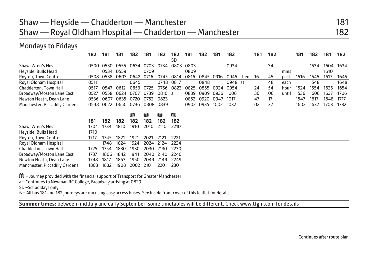## Shaw — Heyside — Chadderton — Manchester 181 Shaw — Royal Oldham Hospital — Chadderton — Manchester 182

#### Mondays to Fridays

|                                | 182  | 181  | 181  | 182       | 181  | 182       | 182  | 181  | 182  | 181  | 182     |      | 181 | 182 |       | 181  | 182  | 181  | 182  |
|--------------------------------|------|------|------|-----------|------|-----------|------|------|------|------|---------|------|-----|-----|-------|------|------|------|------|
|                                |      |      |      |           |      |           | SD   |      |      |      |         |      |     |     |       |      |      |      |      |
| Shaw, Wren's Nest              | 0500 | 0530 | 0555 | 0634      | 0703 | 0734      | 0803 | 0803 |      |      | 0934    |      |     | 34  |       |      | 1534 | 1604 | 1634 |
| Heyside, Bulls Head            |      | 0534 | 0559 |           | 0709 |           |      | 0809 |      |      |         |      |     |     | mins  |      |      | 1610 |      |
| Royton, Town Centre            | 0508 | 0538 | 0603 | 0642      | 0716 | 0745      | 0814 | 0816 | 0845 | 0916 | 0945    | then | 16  | 45  | past  | 1516 | 1545 | 1617 | 1645 |
| Royal Oldham Hospital          | 0511 |      |      | 0645      |      | 0748      | 0817 |      | 0848 |      | 0948 at |      |     | 48  | each  |      | 1548 |      | 1648 |
| Chadderton, Town Hall          | 0517 | 0547 | 0612 | 0653      | 0725 | 0756      | 0823 | 0825 | 0855 | 0924 | 0954    |      | 24  | 54  | hour  | 1524 | 1554 | 1625 | 1654 |
| Broadway/Moston Lane East      | 0527 | 0558 | 0624 | 0707      | 0739 | 0810 a    |      | 0839 | 0909 | 0936 | 1006    |      | 36  | 06  | until | 1536 | 1606 | 1637 | 1706 |
| Newton Heath, Dean Lane        | 0536 | 0607 |      | 0635 0720 | 0752 | 0823      |      | 0852 | 0920 | 0947 | 1017    |      | 47  | 17  |       | 1547 | 1617 | 1648 | 1717 |
| Manchester, Piccadilly Gardens | 0548 | 0622 |      | 0650 0736 |      | 0808 0839 |      | 0902 | 0935 | 1002 | 1032    |      | 02  | 32  |       | 1602 | 1632 | 1703 | 1732 |
|                                |      |      |      | M         | M    | m         | M    |      |      |      |         |      |     |     |       |      |      |      |      |
|                                | 181  | 182  | 182  | 182       | 182  | 182       | 182  |      |      |      |         |      |     |     |       |      |      |      |      |
| Shaw, Wren's Nest              | 1704 | 1734 | 1810 | 1910      | 2010 | 2110      | 2210 |      |      |      |         |      |     |     |       |      |      |      |      |
| Heyside, Bulls Head            | 1710 |      |      |           |      |           |      |      |      |      |         |      |     |     |       |      |      |      |      |
| Royton, Town Centre            | 1717 | 1745 | 1821 | 1921      | 2021 | 2121      | 2221 |      |      |      |         |      |     |     |       |      |      |      |      |
| Royal Oldham Hospital          |      | 1748 | 1824 | 1924      | 2024 | 2124      | 2224 |      |      |      |         |      |     |     |       |      |      |      |      |
| Chadderton, Town Hall          | 1725 | 1754 | 1830 | 1930      | 2030 | 2130      | 2230 |      |      |      |         |      |     |     |       |      |      |      |      |

Manchester, Piccadilly Gardens 1803 1832 1908 2002 2101 2201 2301 M – Journey provided with the financial support of Transport for Greater Manchester

Broadway/Moston Lane East 1737 1806 1842 1941 2040 2140 2240 Newton Heath, Dean Lane 1748 1817 1853 1950 2049 2149 2249

a – Continues to Newman RC College, Broadway arriving at 0829

SD –Schooldays only

W– All bus 181 and 182 journeys are run using easy access buses. See inside front cover of this leaflet for details

**Summer times:** between mid July and early September, some timetables will be different. Check www.tfgm.com for details

Continues after route plan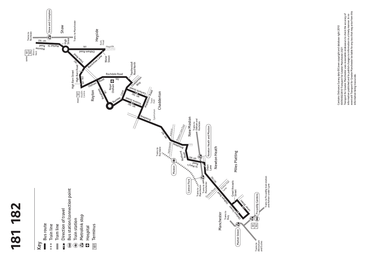



Contains Ordnance Survey data @Crown copyright and database right 2010<br>@0100022610 Transport for Greater Manchester 2021<br>Transport for Greater Manchester uses reasonable endeavours to check the accuracy of<br>information publ event will Transport for Greater Manchester be liable for any loss that may arise from this Transport for Greater Manchester uses reasonable endeavours to check the accuracy of information published and to publish changes to information in a timely manner. In no Contains Ordnance Survey data ©Crown copyright and database right 2010 ©0100022610 Transport for Greater Manchester 2021 information being inaccurate.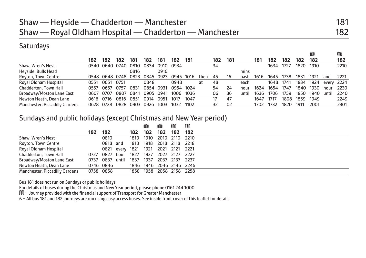## **Saturdays**

|                                |      |                |      |      |      |      |      |      |      |     |     |       |      |      |      |      | M    |       |      |
|--------------------------------|------|----------------|------|------|------|------|------|------|------|-----|-----|-------|------|------|------|------|------|-------|------|
|                                | 182  | 182            | 182  | 181  | 182  | 181  | 182  | 181  |      | 182 | 181 |       | 181  | 182  | 182  | 182  | 182  |       | 182  |
| Shaw, Wren's Nest              |      | 0540 0640 0740 |      | 0810 | 0834 | 0910 | 0934 |      |      | 34  |     |       |      | 1634 | 1727 | 1820 | 1910 |       | 2210 |
| Heyside, Bulls Head            |      |                |      | 0816 |      | 0916 |      |      |      |     |     | mins  |      |      |      |      |      |       |      |
| Royton, Town Centre            |      | 0548 0648 0748 |      | 0823 | 0845 | 0923 | 0945 | 1016 | then | 45  | 16  | past  | 1616 | 1645 | 1738 | 1831 | 1921 | and   | 2221 |
| Royal Oldham Hospital          | 0551 | $065^{\circ}$  | 0751 |      | 0848 |      | 0948 |      | at   | 48  |     | each  |      | 1648 | 1741 | 1834 | 1924 | every | 2224 |
| Chadderton, Town Hall          | 0557 | 0657           | 0757 | 083  | በ854 | 0931 | 0954 | 1024 |      | 54  | 24  | hour  | 1624 | 1654 | 1747 | 1840 | 1930 | hour  | 2230 |
| Broadway/Moston Lane East      | 0607 | 0707           | 0807 | 0841 | 0905 | 0941 | 1006 | 1036 |      | 06  | 36  | until | 1636 | 1706 | 1759 | 1850 | 1940 | until | 2240 |
| Newton Heath, Dean Lane        | 0616 | 0716           | 0816 | 085  | በ914 | 095′ | 1017 | 1047 |      | 17  | 47  |       | 1647 | 1717 | 1808 | 1859 | 1949 |       | 2249 |
| Manchester, Piccadilly Gardens | 0628 | 0728           | 0828 | 0903 | 0926 | 1003 | 1032 | 1102 |      | 32  | 02  |       | 1702 | 1732 | 1820 | 1911 | 2001 |       | 2301 |

#### Sundays and public holidays (except Christmas and New Year period)

|                                |           |            |       |      | M    | M                        |      | M    |  |
|--------------------------------|-----------|------------|-------|------|------|--------------------------|------|------|--|
|                                | 182       | 182        |       | 182. | 182  | 182                      | 182  | 182  |  |
| Shaw, Wren's Nest              |           | 0810       |       | 1810 |      | 1910 2010                | 2110 | 2210 |  |
| Royton, Town Centre            |           | 0818 and   |       | 1818 | 1918 | 2018                     | 2118 | 2218 |  |
| Royal Oldham Hospital          |           | 0821 every |       | 1821 | 1921 | 2021                     | 2121 | 2221 |  |
| Chadderton, Town Hall          | 0727      | 0827       | hour  | 1827 | 1927 | 2027                     | 2127 | 2227 |  |
| Broadway/Moston Lane East      | 0737      | 0837       | until | 1837 | 1937 | 2037 2137                |      | 2237 |  |
| Newton Heath, Dean Lane        | 0746 0846 |            |       |      |      | 1846 1946 2046 2146 2246 |      |      |  |
| Manchester, Piccadilly Gardens | 0758 0858 |            |       | 1858 |      | 1958 2058 2158 2258      |      |      |  |

Bus 181 does not run on Sundays or public holidays

For details of buses during the Christmas and New Year period, please phone 0161 244 1000

M – Journey provided with the financial support of Transport for Greater Manchester

W– All bus 181 and 182 journeys are run using easy access buses. See inside front cover of this leaflet for details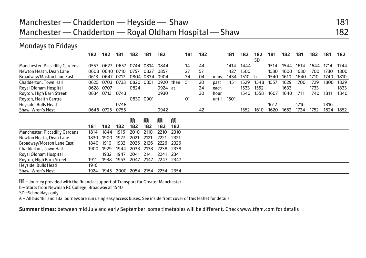# Manchester — Chadderton — Heyside — Shaw 181 Manchester — Chadderton — Royal Oldham Hospital — Shaw 182

#### Mondays to Fridays

|                                | 182  | 182       | 181  | 182  | 181  | 182     |      | 181 | 182 |       | 181  | 182  | 182       | 181  | 182  | 181  | 182  | 181  | 182  |
|--------------------------------|------|-----------|------|------|------|---------|------|-----|-----|-------|------|------|-----------|------|------|------|------|------|------|
|                                |      |           |      |      |      |         |      |     |     |       |      |      | <b>SD</b> |      |      |      |      |      |      |
| Manchester, Piccadilly Gardens | 0557 | 0627      | 0657 | 0744 | 0814 | 0844    |      | 14  | 44  |       | 1414 | 1444 |           | 1514 | 1544 | 1614 | 1644 | 1714 | 1744 |
| Newton Heath, Dean Lane        | 0608 | 0640      | 0710 | 0757 | 0827 | 0857    |      | 27  | 57  |       | 1427 | 1500 |           | 1530 | 1600 | 1630 | 1700 | 1730 | 1800 |
| Broadway/Moston Lane East      | 0613 | 0647      | 0717 | 0804 | 0834 | 0904    |      | 34  | 04  | mins  | 1434 | 1510 | b         | 1540 | 1610 | 1640 | 1710 | 1740 | 1810 |
| Chadderton, Town Hall          | 0625 | 0703      | 0733 | 0820 | 0851 | 0920    | then | 51  | 20  | past  | 1451 | 1529 | 1548      | 1557 | 1629 | 1700 | 1729 | 1800 | 1829 |
| Royal Oldham Hospital          | 0628 | 0707      |      | 0824 |      | 0924 at |      |     | 24  | each  |      | 1533 | 1552      |      | 1633 |      | 1733 |      | 1833 |
| Royton, High Barn Street       | 0634 | 0713      | 0743 |      |      | 0930    |      |     | 30  | hour  |      | 1540 | 1558      | 1607 | 1640 | 1711 | 1740 | 1811 | 1840 |
| Royton, Health Centre          |      |           |      | 0830 | 0901 |         |      | 01  |     | until | 1501 |      |           |      |      |      |      |      |      |
| Heyside, Bulls Head            |      |           | 0748 |      |      |         |      |     |     |       |      |      |           | 1612 |      | 1716 |      | 1816 |      |
| Shaw, Wren's Nest              |      | 0646 0725 | 0755 |      |      | 0942    |      |     | 42  |       |      | 1552 | 1610      | 1620 | 1652 | 1724 | 1752 | 1824 | 1852 |
|                                |      |           |      |      |      |         |      |     |     |       |      |      |           |      |      |      |      |      |      |
|                                |      |           |      | M    | M    | M       | M    |     |     |       |      |      |           |      |      |      |      |      |      |
|                                | 181  | 182       | 182  | 182  | 182  | 182     | 182  |     |     |       |      |      |           |      |      |      |      |      |      |
| Manchester, Piccadilly Gardens | 1814 | 1844      | 1916 | 2010 | 2110 | 2210    | 2310 |     |     |       |      |      |           |      |      |      |      |      |      |
| Newton Heath, Dean Lane        | 1830 | 1900      | 1927 | 2021 | 2121 | 2221    | 2321 |     |     |       |      |      |           |      |      |      |      |      |      |
| Broadway/Moston Lane East      | 1840 | 1910      | 1932 | 2026 | 2126 | 2226    | 2326 |     |     |       |      |      |           |      |      |      |      |      |      |
| Chadderton, Town Hall          | 1900 | 1929      | 1944 | 2038 | 2138 | 2238    | 2338 |     |     |       |      |      |           |      |      |      |      |      |      |
| Royal Oldham Hospital          |      | 1932      | 1947 | 2041 | 2141 | 2241    | 2341 |     |     |       |      |      |           |      |      |      |      |      |      |
| Royton, High Barn Street       | 1911 | 1938      | 1953 | 2047 | 2147 | 2247    | 2347 |     |     |       |      |      |           |      |      |      |      |      |      |
| Heyside, Bulls Head            | 1916 |           |      |      |      |         |      |     |     |       |      |      |           |      |      |      |      |      |      |
| Shaw, Wren's Nest              | 1924 | 1945      | 2000 | 2054 | 2154 | 2254    | 2354 |     |     |       |      |      |           |      |      |      |      |      |      |

M – Journey provided with the financial support of Transport for Greater Manchester

b – Starts from Newman RC College, Broadway at 1540

SD –Schooldays only

W– All bus 181 and 182 journeys are run using easy access buses. See inside front cover of this leaflet for details

**Summer times:** between mid July and early September, some timetables will be different. Check www.tfgm.com for details